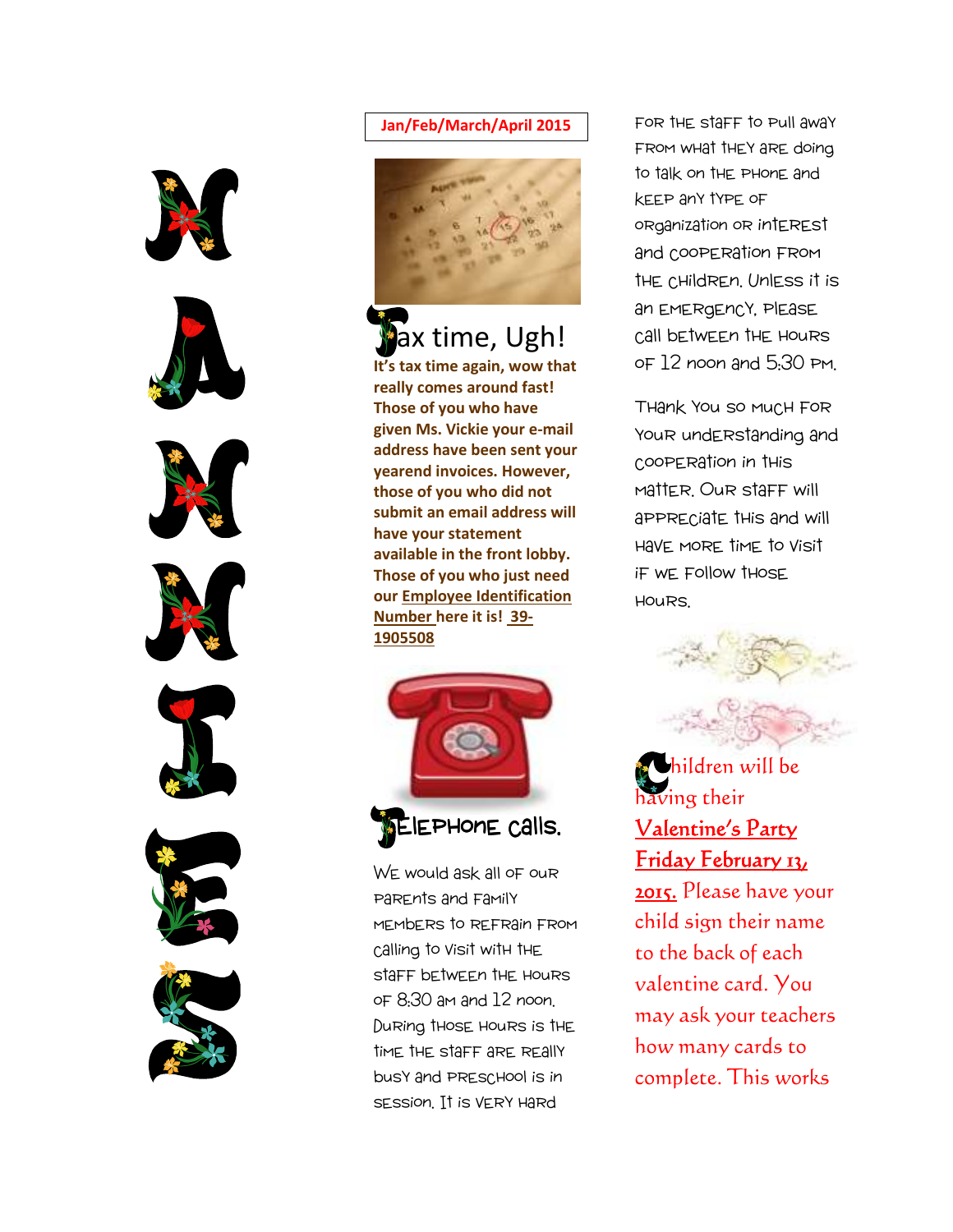













#### **Jan/Feb/March/April 2015**



**ax time, Ugh! It's tax time again, wow that really comes around fast! Those of you who have given Ms. Vickie your e-mail address have been sent your yearend invoices. However, those of you who did not submit an email address will have your statement available in the front lobby. Those of you who just need our Employee Identification Number here it is! 39- 1905508** 



WE would ask all of our parents and family members to refrain from calling to visit with the staff between the hours of 8:30 am and 12 noon. During those hours is the time the staff are really busy and preschool is in session. It is very hard

FOR THE STAFF TO Pull awaY from what they are doing to talk on the phone and keep any type of organization or interest and cooperation from the children. Unless it is an emergency, please call between the hours of 12 noon and 5:30 pm.

Thank you so much for your understanding and cooperation in this matter. Our staff will appreciate this and will have more time to visit if we follow those hours.



 hildren will be having their Valentine's Party Friday February 13,

2015. Please have your child sign their name to the back of each valentine card. You may ask your teachers how many cards to complete. This works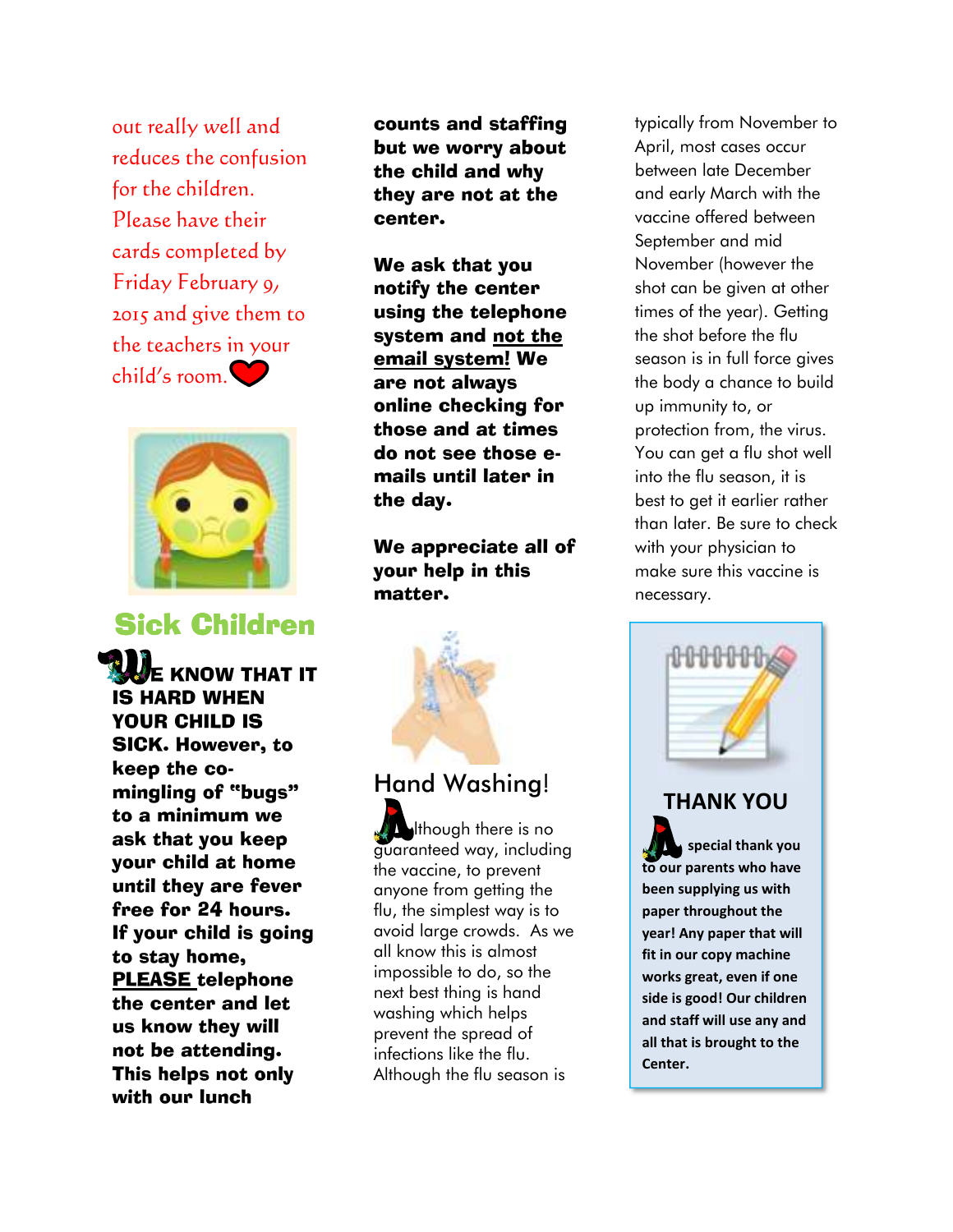out really well and reduces the confusion for the children. Please have their cards completed by Friday February 9, 2015 and give them to the teachers in your child's room.



## **Sick Children**

 E KNOW THAT IT IS HARD WHEN YOUR CHILD IS SICK. However, to keep the comingling of "bugs" to a minimum we ask that you keep your child at home until they are fever free for 24 hours. If your child is going to stay home, PLEASE telephone the center and let us know they will not be attending. This helps not only with our lunch

counts and staffing but we worry about the child and why they are not at the center.

We ask that you notify the center using the telephone system and not the email system! We are not always online checking for those and at times do not see those emails until later in the day.

We appreciate all of your help in this matter.



# **Hand Washing**!

 lthough there is no guaranteed way, including the vaccine, to prevent anyone from getting the flu, the simplest way is to avoid large crowds. As we all know this is almost impossible to do, so the next best thing is hand washing which helps prevent the spread of infections like the flu. Although the flu season is

typically from November to April, most cases occur between late December and early March with the vaccine offered between September and mid November (however the shot can be given at other times of the year). Getting the shot before the flu season is in full force gives the body a chance to build up immunity to, or protection from, the virus. You can get a flu shot well into the flu season, it is best to get it earlier rather than later. Be sure to check with your physician to make sure this vaccine is necessary.



### **THANK YOU**

 **special thank you to our parents who have been supplying us with paper throughout the year! Any paper that will fit in our copy machine works great, even if one side is good! Our children and staff will use any and all that is brought to the Center.**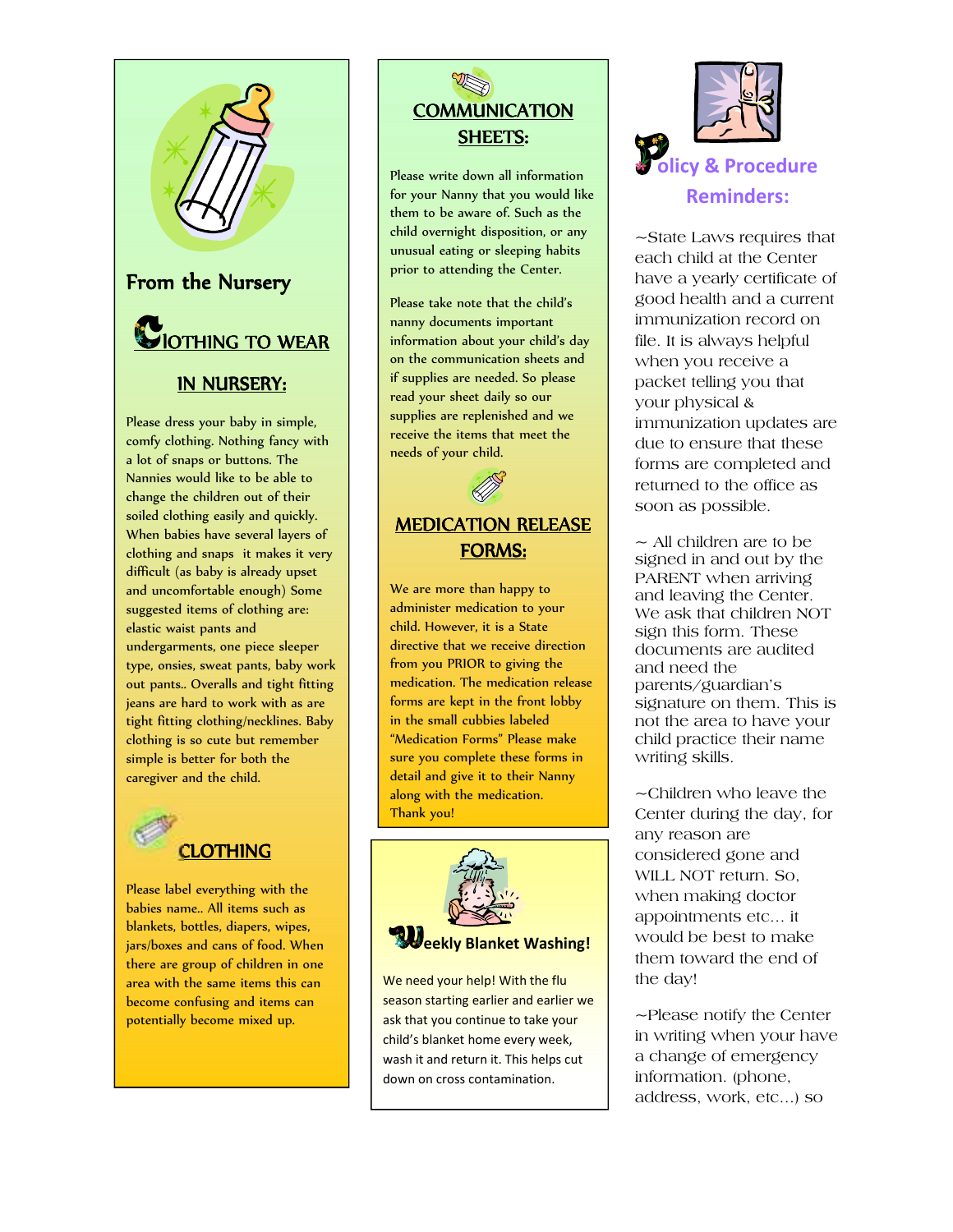

#### IN NURSERY:

Please dress your baby in simple, comfy clothing. Nothing fancy with a lot of snaps or buttons. The Nannies would like to be able to change the children out of their soiled clothing easily and quickly. When babies have several layers of clothing and snaps it makes it very difficult (as baby is already upset and uncomfortable enough) Some suggested items of clothing are: elastic waist pants and undergarments, one piece sleeper type, onsies, sweat pants, baby work out pants.. Overalls and tight fitting jeans are hard to work with as are tight fitting clothing/necklines. Baby clothing is so cute but remember simple is better for both the caregiver and the child.



Please label everything with the babies name.. All items such as blankets, bottles, diapers, wipes, jars/boxes and cans of food. When there are group of children in one area with the same items this can become confusing and items can potentially become mixed up.



Please write down all information for your Nanny that you would like them to be aware of. Such as the child overnight disposition, or any unusual eating or sleeping habits prior to attending the Center.

Please take note that the child's nanny documents important information about your child's day on the communication sheets and if supplies are needed. So please read your sheet daily so our supplies are replenished and we receive the items that meet the needs of your child.

## MEDICATION RELEASE FORMS:

We are more than happy to administer medication to your child. However, it is a State directive that we receive direction from you PRIOR to giving the medication. The medication release forms are kept in the front lobby in the small cubbies labeled "Medication Forms" Please make sure you complete these forms in detail and give it to their Nanny along with the medication. Thank you!



We need your help! With the flu season starting earlier and earlier we ask that you continue to take your child's blanket home every week, wash it and return it. This helps cut down on cross contamination.



~State Laws requires that each child at the Center have a yearly certificate of good health and a current immunization record on file. It is always helpful when you receive a packet telling you that your physical & immunization updates are due to ensure that these forms are completed and returned to the office as soon as possible.

 $\sim$  All children are to be signed in and out by the PARENT when arriving and leaving the Center. We ask that children NOT sign this form. These documents are audited and need the parents/guardian's signature on them. This is not the area to have your child practice their name writing skills.

~Children who leave the Center during the day, for any reason are considered gone and WILL NOT return. So, when making doctor appointments etc… it would be best to make them toward the end of the day!

~Please notify the Center in writing when your have a change of emergency information. (phone, address, work, etc…) so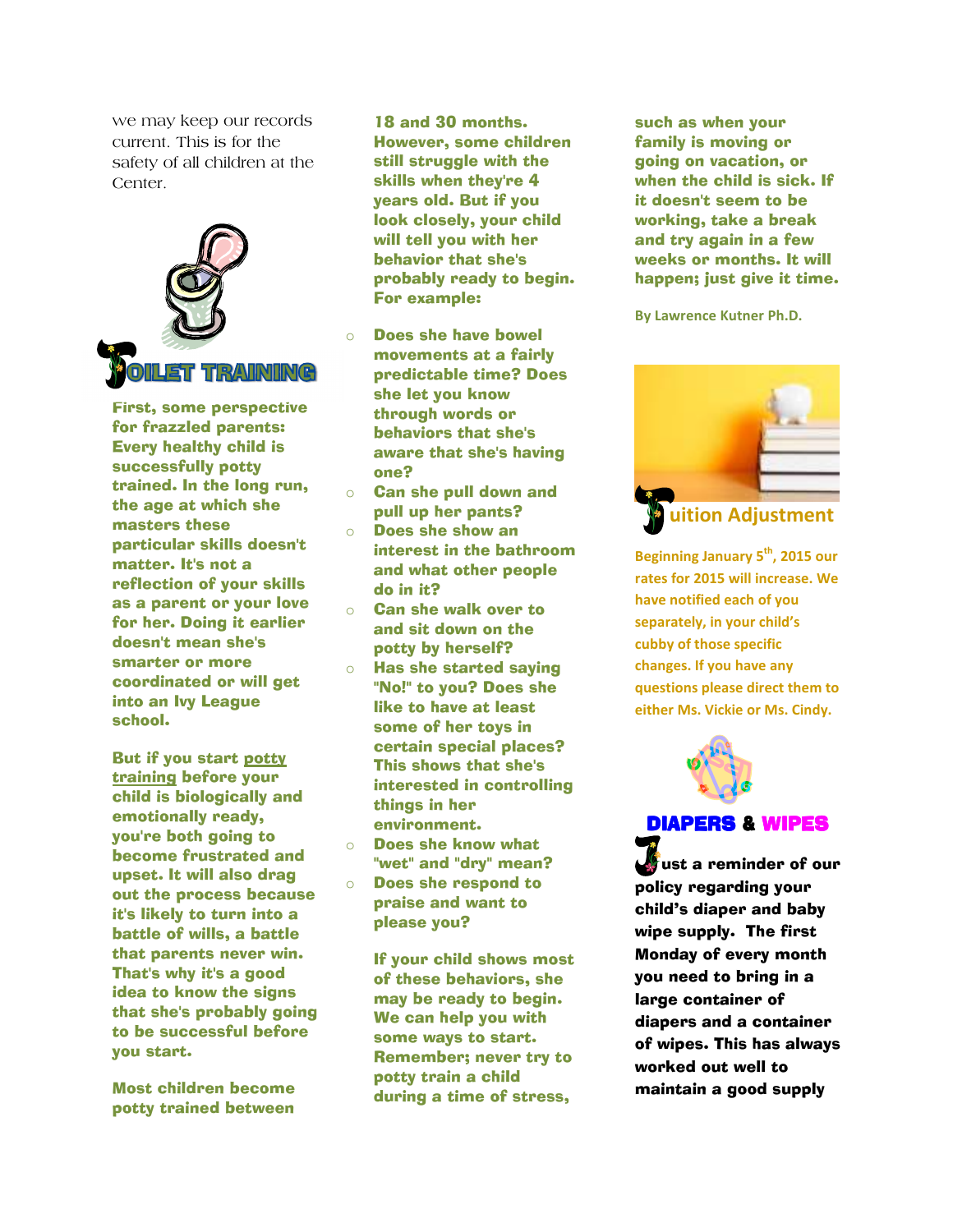we may keep our records current. This is for the safety of all children at the Center.



First, some perspective for frazzled parents: Every healthy child is successfully potty trained. In the long run, the age at which she masters these particular skills doesn't matter. It's not a reflection of your skills as a parent or your love for her. Doing it earlier doesn't mean she's smarter or more coordinated or will get into an Ivy League school.

But if you start potty training before your child is biologically and emotionally ready, you're both going to become frustrated and upset. It will also drag out the process because it's likely to turn into a battle of wills, a battle that parents never win. That's why it's a good idea to know the signs that she's probably going to be successful before you start.

Most children become potty trained between

18 and 30 months. However, some children still struggle with the skills when they're 4 years old. But if you look closely, your child will tell you with her behavior that she's probably ready to begin. For example:

- Does she have bowel movements at a fairly predictable time? Does she let you know through words or behaviors that she's aware that she's having one?
- o Can she pull down and pull up her pants?
- o Does she show an interest in the bathroom and what other people do in it?
- o Can she walk over to and sit down on the potty by herself?
- o Has she started saying "No!" to you? Does she like to have at least some of her toys in certain special places? This shows that she's interested in controlling things in her environment.
- o Does she know what "wet" and "dry" mean?
- o Does she respond to praise and want to please you?

If your child shows most of these behaviors, she may be ready to begin. We can help you with some ways to start. Remember; never try to potty train a child during a time of stress,

such as when your family is moving or going on vacation, or when the child is sick. If it doesn't seem to be working, take a break and try again in a few weeks or months. It will happen; just give it time.

**By Lawrence Kutner Ph.D.**



**Beginning January 5th, 2015 our rates for 2015 will increase. We have notified each of you separately, in your child's cubby of those specific changes. If you have any questions please direct them to either Ms. Vickie or Ms. Cindy.** 



## DIAPERS & WIPES

 ust a reminder of our policy regarding your child's diaper and baby wipe supply. The first Monday of every month you need to bring in a large container of diapers and a container of wipes. This has always worked out well to maintain a good supply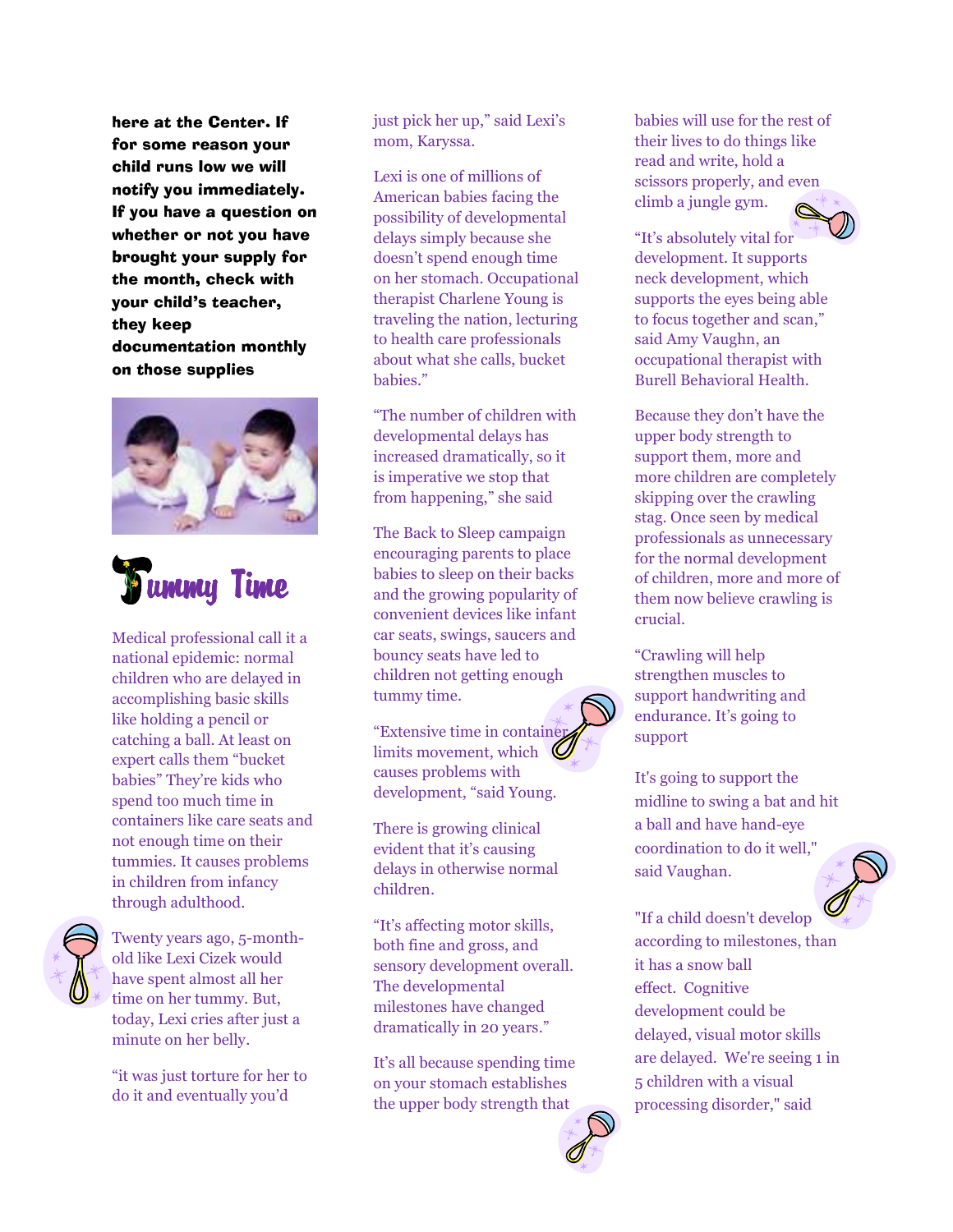here at the Center. If for some reason your child runs low we will notify you immediately. If you have a question on whether or not you have brought your supply for the month, check with your child's teacher, they keep documentation monthly on those supplies





Medical professional call it a national epidemic: normal children who are delayed in accomplishing basic skills like holding a pencil or catching a ball. At least on expert calls them "bucket babies" They're kids who spend too much time in containers like care seats and not enough time on their tummies. It causes problems in children from infancy through adulthood.



Twenty years ago, 5-monthold like Lexi Cizek would have spent almost all her time on her tummy. But, today, Lexi cries after just a minute on her belly.

"it was just torture for her to do it and eventually you'd

just pick her up," said Lexi's mom, Karyssa.

Lexi is one of millions of American babies facing the possibility of developmental delays simply because she doesn't spend enough time on her stomach. Occupational therapist Charlene Young is traveling the nation, lecturing to health care professionals about what she calls, bucket babies."

"The number of children with developmental delays has increased dramatically, so it is imperative we stop that from happening," she said

The Back to Sleep campaign encouraging parents to place babies to sleep on their backs and the growing popularity of convenient devices like infant car seats, swings, saucers and bouncy seats have led to children not getting enough tummy time.

"Extensive time in containe limits movement, which causes problems with development, "said Young.

There is growing clinical evident that it's causing delays in otherwise normal children.

"It's affecting motor skills, both fine and gross, and sensory development overall. The developmental milestones have changed dramatically in 20 years."

It's all because spending time on your stomach establishes the upper body strength that

babies will use for the rest of their lives to do things like read and write, hold a scissors properly, and even climb a jungle gym.



"It's absolutely vital for development. It supports neck development, which supports the eyes being able to focus together and scan," said Amy Vaughn, an occupational therapist with Burell Behavioral Health.

Because they don't have the upper body strength to support them, more and more children are completely skipping over the crawling stag. Once seen by medical professionals as unnecessary for the normal development of children, more and more of them now believe crawling is crucial.

"Crawling will help strengthen muscles to support handwriting and endurance. It's going to support

It's going to support the midline to swing a bat and hit a ball and have hand-eye coordination to do it well," said Vaughan.



"If a child doesn't develop according to milestones, than it has a snow ball effect. Cognitive development could be delayed, visual motor skills are delayed. We're seeing 1 in 5 children with a visual processing disorder," said